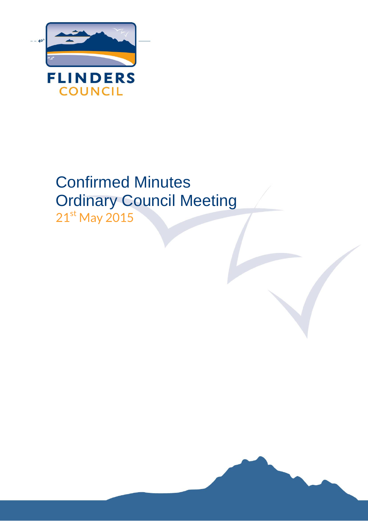

# Confirmed Minutes Ordinary Council Meeting 21st May 2015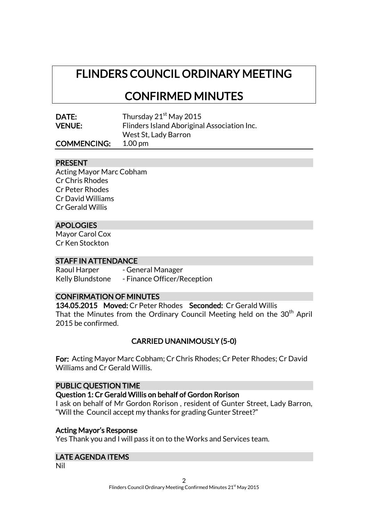## FLINDERS COUNCIL ORDINARY MEETING

## CONFIRMED MINUTES

| DATE:         | Tł |
|---------------|----|
| <b>VENUE:</b> | Fľ |

hursday 2 $1^{\rm st}$  May 2015 linders Island Aboriginal Association Inc. West St, Lady Barron

## COMMENCING: 1.00 pm

### PRESENT

Acting Mayor Marc Cobham Cr Chris Rhodes Cr Peter Rhodes Cr David Williams Cr Gerald Willis

## APOLOGIES

Mayor Carol Cox Cr Ken Stockton

#### STAFF IN ATTENDANCE

Raoul Harper - General Manager Kelly Blundstone - Finance Officer/Reception

## CONFIRMATION OF MINUTES

134.05.2015 Moved: Cr Peter Rhodes Seconded: Cr Gerald Willis That the Minutes from the Ordinary Council Meeting held on the 30<sup>th</sup> April 2015 be confirmed.

## CARRIED UNANIMOUSLY (5-0)

For: Acting Mayor Marc Cobham; Cr Chris Rhodes; Cr Peter Rhodes; Cr David Williams and Cr Gerald Willis.

#### PUBLIC QUESTION TIME

#### Question 1: Cr Gerald Willis on behalf of Gordon Rorison

I ask on behalf of Mr Gordon Rorison , resident of Gunter Street, Lady Barron, "Will the Council accept my thanks for grading Gunter Street?"

### Acting Mayor's Response

Yes Thank you and I will pass it on to the Works and Services team.

## LATE AGENDA ITEMS

Nil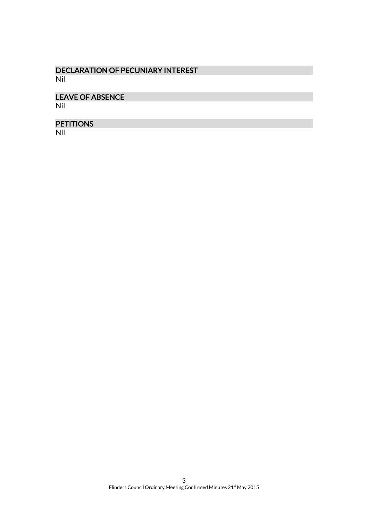## DECLARATION OF PECUNIARY INTEREST Nil

## LEAVE OF ABSENCE

Nil

## **PETITIONS**

Nil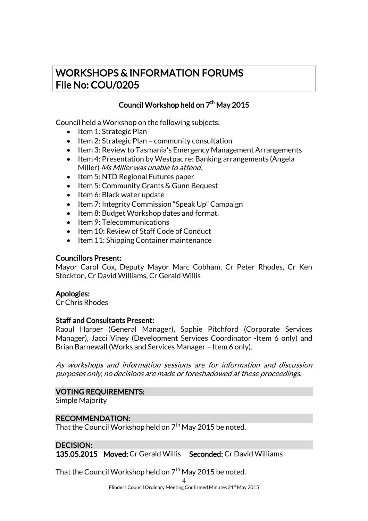## WORKSHOPS & INFORMATION FORUMS File No: COU/0205

## Council Workshop held on  $7<sup>th</sup>$  May 2015

Council held a Workshop on the following subjects:

- Item 1: Strategic Plan
- $\bullet$  Item 2: Strategic Plan community consultation
- Item 3: Review to Tasmania's Emergency Management Arrangements
- Item 4: Presentation by Westpac re: Banking arrangements (Angela Miller) Ms Miller was unable to attend.
- $\bullet$  Item 5: NTD Regional Futures paper
- Item 5: Community Grants & Gunn Bequest
- Item 6: Black water update
- Item 7: Integrity Commission "Speak Up" Campaign
- Item 8: Budget Workshop dates and format.
- Item 9: Telecommunications
- Item 10: Review of Staff Code of Conduct
- Item 11: Shipping Container maintenance

### Councillors Present:

Mayor Carol Cox, Deputy Mayor Marc Cobham, Cr Peter Rhodes, Cr Ken Stockton, Cr David Williams, Cr Gerald Willis

### Apologies:

Cr Chris Rhodes

## Staff and Consultants Present:

Raoul Harper (General Manager), Sophie Pitchford (Corporate Services Manager), Jacci Viney (Development Services Coordinator -Item 6 only) and Brian Barnewall (Works and Services Manager – Item 6 only).

As workshops and information sessions are for information and discussion purposes only, no decisions are made or foreshadowed at these proceedings.

### VOTING REQUIREMENTS:

Simple Majority

### RECOMMENDATION:

That the Council Workshop held on  $7<sup>th</sup>$  May 2015 be noted.

## DECISION:

135.05.2015 Moved: Cr Gerald Willis Seconded: Cr David Williams

That the Council Workshop held on  $7<sup>th</sup>$  May 2015 be noted.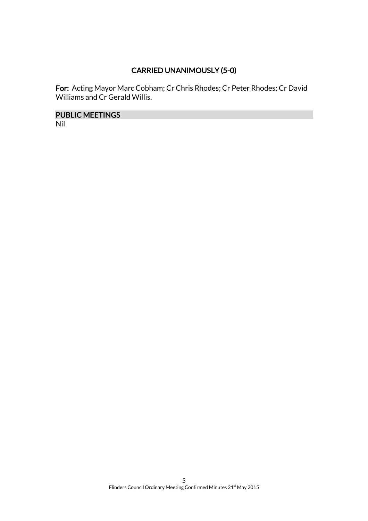## CARRIED UNANIMOUSLY (5-0)

For: Acting Mayor Marc Cobham; Cr Chris Rhodes; Cr Peter Rhodes; Cr David Williams and Cr Gerald Willis.

PUBLIC MEETINGS

Nil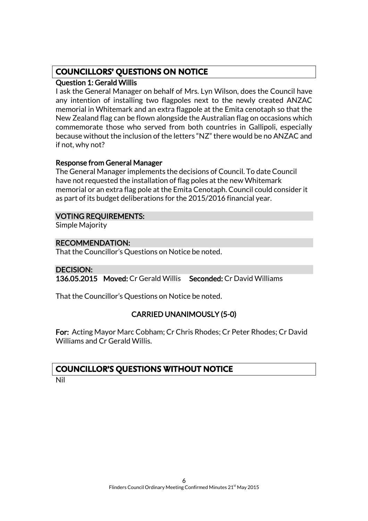## **COUNCILLORS' QUESTIONS ON NOTICE**

## Question 1: Gerald Willis

I ask the General Manager on behalf of Mrs. Lyn Wilson, does the Council have any intention of installing two flagpoles next to the newly created ANZAC memorial in Whitemark and an extra flagpole at the Emita cenotaph so that the New Zealand flag can be flown alongside the Australian flag on occasions which commemorate those who served from both countries in Gallipoli, especially because without the inclusion of the letters "NZ" there would be no ANZAC and if not, why not?

## Response from General Manager

The General Manager implements the decisions of Council. To date Council have not requested the installation of flag poles at the new Whitemark memorial or an extra flag pole at the Emita Cenotaph. Council could consider it as part of its budget deliberations for the 2015/2016 financial year.

## VOTING REQUIREMENTS:

Simple Majority

## RECOMMENDATION:

That the Councillor's Questions on Notice be noted.

## DECISION:

136.05.2015 Moved: Cr Gerald Willis Seconded: Cr David Williams

That the Councillor's Questions on Notice be noted.

## CARRIED UNANIMOUSLY (5-0)

For: Acting Mayor Marc Cobham; Cr Chris Rhodes; Cr Peter Rhodes; Cr David Williams and Cr Gerald Willis.

## **COUNCILLOR'S QUESTIONS WITHOUT NOTICE**

Nil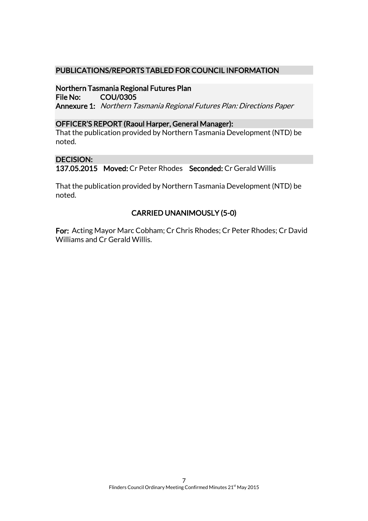## PUBLICATIONS/REPORTS TABLED FOR COUNCIL INFORMATION

## Northern Tasmania Regional Futures Plan

File No: COU/0305 Annexure 1: Northern Tasmania Regional Futures Plan: Directions Paper

### OFFICER'S REPORT (Raoul Harper, General Manager):

That the publication provided by Northern Tasmania Development (NTD) be noted.

## DECISION:

137.05.2015 Moved: Cr Peter Rhodes Seconded: Cr Gerald Willis

That the publication provided by Northern Tasmania Development (NTD) be noted.

## CARRIED UNANIMOUSLY (5-0)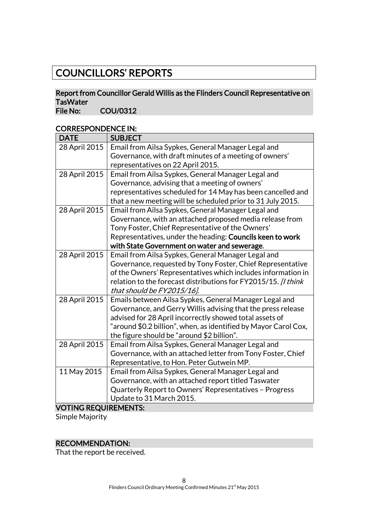## COUNCILLORS' REPORTS

## Report from Councillor Gerald Willis as the Flinders Council Representative on TasWater<br>File No:

COU/0312

## CORRESPONDENCE IN:

| <b>DATE</b>                 | <b>SUBJECT</b>                                                  |
|-----------------------------|-----------------------------------------------------------------|
| 28 April 2015               | Email from Ailsa Sypkes, General Manager Legal and              |
|                             | Governance, with draft minutes of a meeting of owners'          |
|                             | representatives on 22 April 2015.                               |
| 28 April 2015               | Email from Ailsa Sypkes, General Manager Legal and              |
|                             | Governance, advising that a meeting of owners'                  |
|                             | representatives scheduled for 14 May has been cancelled and     |
|                             | that a new meeting will be scheduled prior to 31 July 2015.     |
| 28 April 2015               | Email from Ailsa Sypkes, General Manager Legal and              |
|                             | Governance, with an attached proposed media release from        |
|                             | Tony Foster, Chief Representative of the Owners'                |
|                             | Representatives, under the heading: Councils keen to work       |
|                             | with State Government on water and sewerage.                    |
| 28 April 2015               | Email from Ailsa Sypkes, General Manager Legal and              |
|                             | Governance, requested by Tony Foster, Chief Representative      |
|                             | of the Owners' Representatives which includes information in    |
|                             | relation to the forecast distributions for FY2015/15. [I think  |
|                             | that should be FY2015/16].                                      |
| 28 April 2015               | Emails between Ailsa Sypkes, General Manager Legal and          |
|                             | Governance, and Gerry Willis advising that the press release    |
|                             | advised for 28 April incorrectly showed total assets of         |
|                             | "around \$0.2 billion", when, as identified by Mayor Carol Cox, |
|                             | the figure should be "around \$2 billion".                      |
| 28 April 2015               | Email from Ailsa Sypkes, General Manager Legal and              |
|                             | Governance, with an attached letter from Tony Foster, Chief     |
|                             | Representative, to Hon. Peter Gutwein MP.                       |
| 11 May 2015                 | Email from Ailsa Sypkes, General Manager Legal and              |
|                             | Governance, with an attached report titled Taswater             |
|                             | Quarterly Report to Owners' Representatives - Progress          |
|                             | Update to 31 March 2015.                                        |
| <b>VOTING REQUIREMENTS:</b> |                                                                 |

Simple Majority

## RECOMMENDATION:

That the report be received.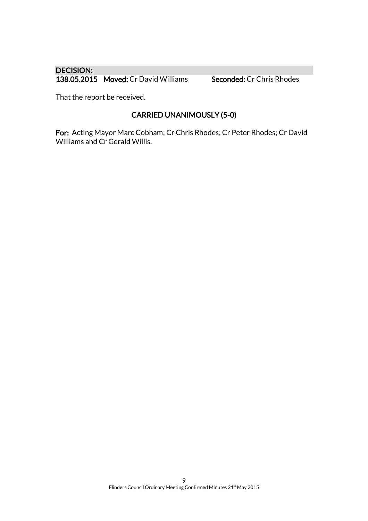## DECISION: 138.05.2015 Moved: Cr David Williams Seconded: Cr Chris Rhodes

That the report be received.

## CARRIED UNANIMOUSLY (5-0)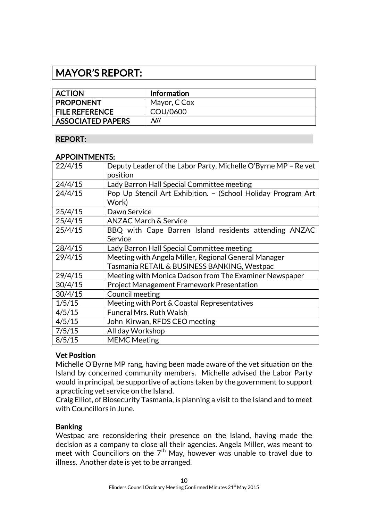## MAYOR'S REPORT:

| <b>ACTION</b>            | Information  |
|--------------------------|--------------|
| <b>PROPONENT</b>         | Mayor, C Cox |
| <b>FILE REFERENCE</b>    | COU/0600     |
| <b>ASSOCIATED PAPERS</b> | Nil          |

## REPORT:

### APPOINTMENTS:

| Deputy Leader of the Labor Party, Michelle O'Byrne MP - Re vet |
|----------------------------------------------------------------|
| position                                                       |
| Lady Barron Hall Special Committee meeting                     |
| Pop Up Stencil Art Exhibition. - (School Holiday Program Art   |
| Work)                                                          |
| Dawn Service                                                   |
| <b>ANZAC March &amp; Service</b>                               |
| BBQ with Cape Barren Island residents attending ANZAC          |
| Service                                                        |
| Lady Barron Hall Special Committee meeting                     |
| Meeting with Angela Miller, Regional General Manager           |
| Tasmania RETAIL & BUSINESS BANKING, Westpac                    |
| Meeting with Monica Dadson from The Examiner Newspaper         |
| <b>Project Management Framework Presentation</b>               |
| Council meeting                                                |
| Meeting with Port & Coastal Representatives                    |
| <b>Funeral Mrs. Ruth Walsh</b>                                 |
| John Kirwan, RFDS CEO meeting                                  |
| All day Workshop                                               |
| <b>MEMC Meeting</b>                                            |
|                                                                |

## Vet Position

Michelle O'Byrne MP rang, having been made aware of the vet situation on the Island by concerned community members. Michelle advised the Labor Party would in principal, be supportive of actions taken by the government to support a practicing vet service on the Island.

Craig Elliot, of Biosecurity Tasmania, is planning a visit to the Island and to meet with Councillors in June.

### Banking

Westpac are reconsidering their presence on the Island, having made the decision as a company to close all their agencies. Angela Miller, was meant to meet with Councillors on the  $7<sup>th</sup>$  May, however was unable to travel due to illness. Another date is yet to be arranged.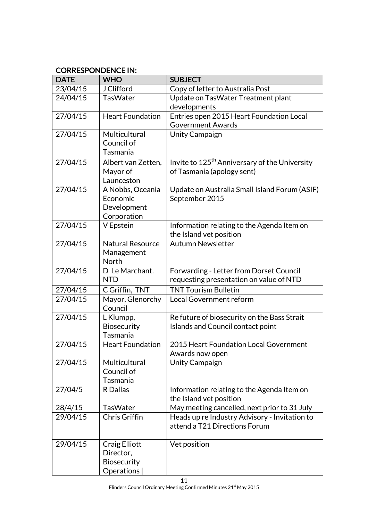## CORRESPONDENCE IN:

| <b>DATE</b> | <b>WHO</b>              | <b>SUBJECT</b>                                            |  |
|-------------|-------------------------|-----------------------------------------------------------|--|
| 23/04/15    | J Clifford              | Copy of letter to Australia Post                          |  |
| 24/04/15    | <b>TasWater</b>         | Update on TasWater Treatment plant                        |  |
|             |                         | developments                                              |  |
| 27/04/15    | <b>Heart Foundation</b> | Entries open 2015 Heart Foundation Local                  |  |
|             |                         | <b>Government Awards</b>                                  |  |
| 27/04/15    | Multicultural           | <b>Unity Campaign</b>                                     |  |
|             | Council of              |                                                           |  |
|             | Tasmania                |                                                           |  |
| 27/04/15    | Albert van Zetten,      | Invite to 125 <sup>th</sup> Anniversary of the University |  |
|             | Mayor of                | of Tasmania (apology sent)                                |  |
|             | Launceston              |                                                           |  |
| 27/04/15    | A Nobbs, Oceania        | Update on Australia Small Island Forum (ASIF)             |  |
|             | Economic                | September 2015                                            |  |
|             | Development             |                                                           |  |
|             | Corporation             |                                                           |  |
| 27/04/15    | V Epstein               | Information relating to the Agenda Item on                |  |
|             |                         | the Island vet position                                   |  |
| 27/04/15    | <b>Natural Resource</b> | <b>Autumn Newsletter</b>                                  |  |
|             | Management              |                                                           |  |
|             | North                   |                                                           |  |
| 27/04/15    | D Le Marchant.          | Forwarding - Letter from Dorset Council                   |  |
|             | <b>NTD</b>              | requesting presentation on value of NTD                   |  |
| 27/04/15    | C Griffin, TNT          | <b>TNT Tourism Bulletin</b>                               |  |
| 27/04/15    | Mayor, Glenorchy        | Local Government reform                                   |  |
|             | Council                 |                                                           |  |
| 27/04/15    | L Klumpp,               | Re future of biosecurity on the Bass Strait               |  |
|             | <b>Biosecurity</b>      | Islands and Council contact point                         |  |
|             | Tasmania                |                                                           |  |
| 27/04/15    | <b>Heart Foundation</b> | 2015 Heart Foundation Local Government                    |  |
|             |                         | Awards now open                                           |  |
| 27/04/15    | Multicultural           | <b>Unity Campaign</b>                                     |  |
|             | Council of              |                                                           |  |
|             | Tasmania                |                                                           |  |
| 27/04/5     | <b>R</b> Dallas         | Information relating to the Agenda Item on                |  |
|             |                         | the Island vet position                                   |  |
| 28/4/15     | <b>TasWater</b>         | May meeting cancelled, next prior to 31 July              |  |
| 29/04/15    | Chris Griffin           | Heads up re Industry Advisory - Invitation to             |  |
|             |                         | attend a T21 Directions Forum                             |  |
| 29/04/15    | Craig Elliott           | Vet position                                              |  |
|             | Director,               |                                                           |  |
|             | Biosecurity             |                                                           |  |
|             | Operations              |                                                           |  |
|             |                         |                                                           |  |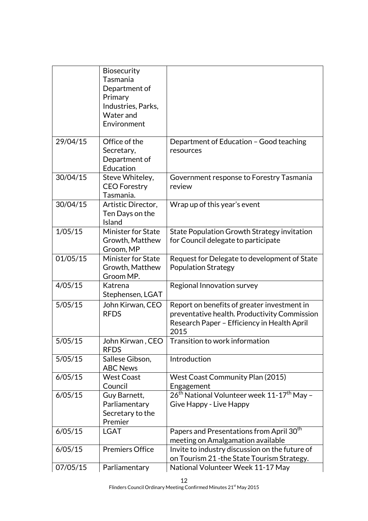|          | Biosecurity<br>Tasmania<br>Department of<br>Primary<br>Industries, Parks,<br>Water and<br>Environment |                                                                                                                                                    |
|----------|-------------------------------------------------------------------------------------------------------|----------------------------------------------------------------------------------------------------------------------------------------------------|
| 29/04/15 | Office of the<br>Secretary,<br>Department of<br>Education                                             | Department of Education - Good teaching<br>resources                                                                                               |
| 30/04/15 | Steve Whiteley,<br><b>CEO</b> Forestry<br>Tasmania.                                                   | Government response to Forestry Tasmania<br>review                                                                                                 |
| 30/04/15 | Artistic Director,<br>Ten Days on the<br>Island                                                       | Wrap up of this year's event                                                                                                                       |
| 1/05/15  | <b>Minister for State</b><br>Growth, Matthew<br>Groom, MP                                             | State Population Growth Strategy invitation<br>for Council delegate to participate                                                                 |
| 01/05/15 | <b>Minister for State</b><br>Growth, Matthew<br>Groom MP.                                             | Request for Delegate to development of State<br><b>Population Strategy</b>                                                                         |
| 4/05/15  | Katrena<br>Stephensen, LGAT                                                                           | Regional Innovation survey                                                                                                                         |
| 5/05/15  | John Kirwan, CEO<br><b>RFDS</b>                                                                       | Report on benefits of greater investment in<br>preventative health. Productivity Commission<br>Research Paper - Efficiency in Health April<br>2015 |
| 5/05/15  | <b>RFDS</b>                                                                                           | John Kirwan, CEO   Transition to work information                                                                                                  |
| 5/05/15  | Sallese Gibson,<br><b>ABC News</b>                                                                    | Introduction                                                                                                                                       |
| 6/05/15  | <b>West Coast</b><br>Council                                                                          | <b>West Coast Community Plan (2015)</b><br>Engagement                                                                                              |
| 6/05/15  | Guy Barnett,<br>Parliamentary<br>Secretary to the<br>Premier                                          | 26 <sup>th</sup> National Volunteer week 11-17 <sup>th</sup> May -<br>Give Happy - Live Happy                                                      |
| 6/05/15  | <b>LGAT</b>                                                                                           | Papers and Presentations from April 30 <sup>th</sup><br>meeting on Amalgamation available                                                          |
| 6/05/15  | <b>Premiers Office</b>                                                                                | Invite to industry discussion on the future of<br>on Tourism 21 - the State Tourism Strategy.                                                      |
| 07/05/15 | Parliamentary                                                                                         | National Volunteer Week 11-17 May                                                                                                                  |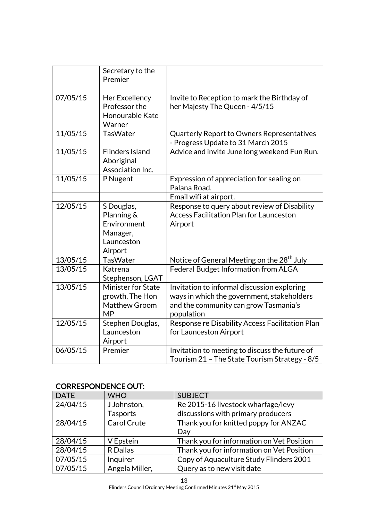|          | Secretary to the<br>Premier                                                  |                                                                                                                                                  |
|----------|------------------------------------------------------------------------------|--------------------------------------------------------------------------------------------------------------------------------------------------|
| 07/05/15 | Her Excellency<br>Professor the<br>Honourable Kate<br>Warner                 | Invite to Reception to mark the Birthday of<br>her Majesty The Queen - 4/5/15                                                                    |
| 11/05/15 | <b>TasWater</b>                                                              | Quarterly Report to Owners Representatives<br>- Progress Update to 31 March 2015                                                                 |
| 11/05/15 | <b>Flinders Island</b><br>Aboriginal<br>Association Inc.                     | Advice and invite June long weekend Fun Run.                                                                                                     |
| 11/05/15 | P Nugent                                                                     | Expression of appreciation for sealing on<br>Palana Road.                                                                                        |
|          |                                                                              | Email wifi at airport.                                                                                                                           |
| 12/05/15 | S Douglas,<br>Planning &<br>Environment<br>Manager,<br>Launceston<br>Airport | Response to query about review of Disability<br><b>Access Facilitation Plan for Launceston</b><br>Airport                                        |
| 13/05/15 | <b>TasWater</b>                                                              | Notice of General Meeting on the 28 <sup>th</sup> July                                                                                           |
| 13/05/15 | Katrena<br>Stephenson, LGAT                                                  | Federal Budget Information from ALGA                                                                                                             |
| 13/05/15 | Minister for State<br>growth, The Hon<br><b>Matthew Groom</b><br><b>MP</b>   | Invitation to informal discussion exploring<br>ways in which the government, stakeholders<br>and the community can grow Tasmania's<br>population |
| 12/05/15 | Stephen Douglas,<br>Launceston<br>Airport                                    | Response re Disability Access Facilitation Plan<br>for Launceston Airport                                                                        |
| 06/05/15 | Premier                                                                      | Invitation to meeting to discuss the future of<br>Tourism 21 - The State Tourism Strategy - 8/5                                                  |

## CORRESPONDENCE OUT:

| <b>DATE</b> | <b>WHO</b>         | <b>SUBJECT</b>                            |
|-------------|--------------------|-------------------------------------------|
| 24/04/15    | J Johnston,        | Re 2015-16 livestock wharfage/levy        |
|             | <b>Tasports</b>    | discussions with primary producers        |
| 28/04/15    | <b>Carol Crute</b> | Thank you for knitted poppy for ANZAC     |
|             |                    | Day                                       |
| 28/04/15    | V Epstein          | Thank you for information on Vet Position |
| 28/04/15    | R Dallas           | Thank you for information on Vet Position |
| 07/05/15    | Inquirer           | Copy of Aquaculture Study Flinders 2001   |
| 07/05/15    | Angela Miller,     | Query as to new visit date                |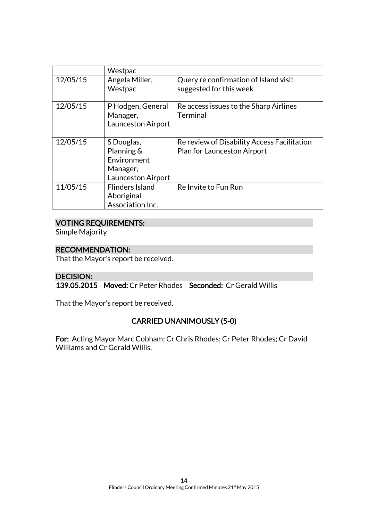|          | Westpac                                                                   |                                                                            |
|----------|---------------------------------------------------------------------------|----------------------------------------------------------------------------|
| 12/05/15 | Angela Miller,<br>Westpac                                                 | Query re confirmation of Island visit<br>suggested for this week           |
| 12/05/15 | P Hodgen, General<br>Manager,<br>Launceston Airport                       | Re access issues to the Sharp Airlines<br><b>Terminal</b>                  |
| 12/05/15 | S Douglas,<br>Planning &<br>Environment<br>Manager,<br>Launceston Airport | Re review of Disability Access Facilitation<br>Plan for Launceston Airport |
| 11/05/15 | <b>Flinders Island</b><br>Aboriginal<br>Association Inc.                  | Re Invite to Fun Run                                                       |

## VOTING REQUIREMENTS:

Simple Majority

## RECOMMENDATION:

That the Mayor's report be received.

## DECISION:

139.05.2015 Moved: Cr Peter Rhodes Seconded: Cr Gerald Willis

That the Mayor's report be received.

## CARRIED UNANIMOUSLY (5-0)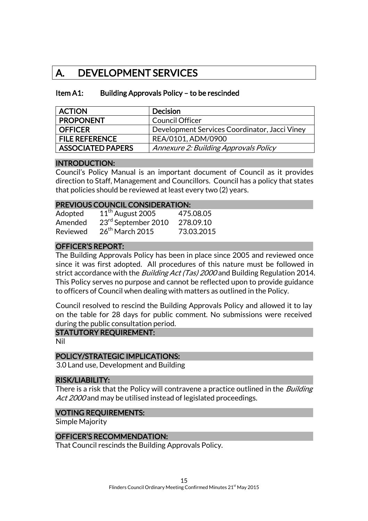## A. DEVELOPMENT SERVICES

## Item A1: Building Approvals Policy – to be rescinded

| <b>ACTION</b>         | <b>Decision</b>                               |
|-----------------------|-----------------------------------------------|
| <b>PROPONENT</b>      | <b>Council Officer</b>                        |
| OFFICER               | Development Services Coordinator, Jacci Viney |
| <b>FILE REFERENCE</b> | REA/0101, ADM/0900                            |
| ASSOCIATED PAPERS     | Annexure 2: Building Approvals Policy         |

### INTRODUCTION:

Council's Policy Manual is an important document of Council as it provides direction to Staff, Management and Councillors. Council has a policy that states that policies should be reviewed at least every two (2) years.

#### PREVIOUS COUNCIL CONSIDERATION:

| Adopted  | $11th$ August 2005  | 475.08.05  |
|----------|---------------------|------------|
| Amended  | 23rd September 2010 | 278.09.10  |
| Reviewed | $26th$ March 2015   | 73.03.2015 |

## OFFICER'S REPORT:

The Building Approvals Policy has been in place since 2005 and reviewed once since it was first adopted. All procedures of this nature must be followed in strict accordance with the *Building Act (Tas) 2000* and Building Regulation 2014. This Policy serves no purpose and cannot be reflected upon to provide guidance to officers of Council when dealing with matters as outlined in the Policy.

Council resolved to rescind the Building Approvals Policy and allowed it to lay on the table for 28 days for public comment. No submissions were received during the public consultation period.

### STATUTORY REQUIREMENT:

Nil

### POLICY/STRATEGIC IMPLICATIONS:

3.0 Land use, Development and Building

#### RISK/LIABILITY:

There is a risk that the Policy will contravene a practice outlined in the *Building* Act 2000 and may be utilised instead of legislated proceedings.

#### VOTING REQUIREMENTS:

Simple Majority

### OFFICER'S RECOMMENDATION:

That Council rescinds the Building Approvals Policy.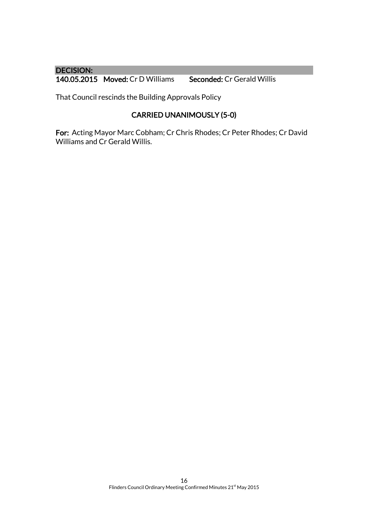## DECISION:

140.05.2015 Moved: Cr D Williams Seconded: Cr Gerald Willis

That Council rescinds the Building Approvals Policy

## CARRIED UNANIMOUSLY (5-0)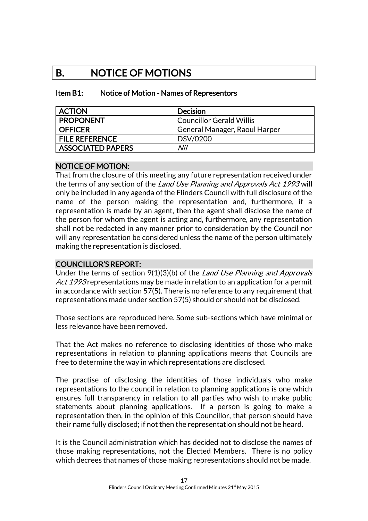## B. NOTICE OF MOTIONS

### Item B1: Notice of Motion - Names of Representors

| <b>ACTION</b>            | <b>Decision</b>                 |
|--------------------------|---------------------------------|
| <b>PROPONENT</b>         | <b>Councillor Gerald Willis</b> |
| <b>OFFICER</b>           | General Manager, Raoul Harper   |
| <b>FILE REFERENCE</b>    | DSV/0200                        |
| <b>ASSOCIATED PAPERS</b> | Nil                             |

### NOTICE OF MOTION:

That from the closure of this meeting any future representation received under the terms of any section of the Land Use Planning and Approvals Act 1993 will only be included in any agenda of the Flinders Council with full disclosure of the name of the person making the representation and, furthermore, if a representation is made by an agent, then the agent shall disclose the name of the person for whom the agent is acting and, furthermore, any representation shall not be redacted in any manner prior to consideration by the Council nor will any representation be considered unless the name of the person ultimately making the representation is disclosed.

## COUNCILLOR'S REPORT:

Under the terms of section 9(1)(3)(b) of the Land Use Planning and Approvals Act 1993 representations may be made in relation to an application for a permit in accordance with section 57(5). There is no reference to any requirement that representations made under section 57(5) should or should not be disclosed.

Those sections are reproduced here. Some sub-sections which have minimal or less relevance have been removed.

That the Act makes no reference to disclosing identities of those who make representations in relation to planning applications means that Councils are free to determine the way in which representations are disclosed.

The practise of disclosing the identities of those individuals who make representations to the council in relation to planning applications is one which ensures full transparency in relation to all parties who wish to make public statements about planning applications. If a person is going to make a representation then, in the opinion of this Councillor, that person should have their name fully disclosed; if not then the representation should not be heard.

It is the Council administration which has decided not to disclose the names of those making representations, not the Elected Members. There is no policy which decrees that names of those making representations should not be made.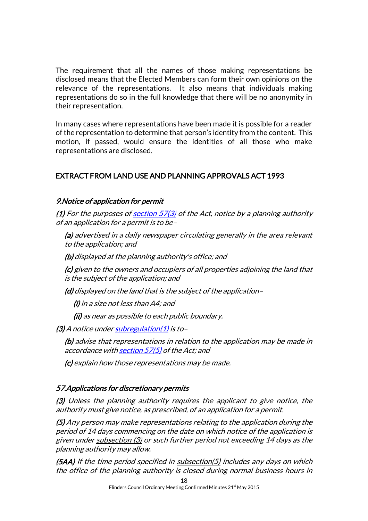The requirement that all the names of those making representations be disclosed means that the Elected Members can form their own opinions on the relevance of the representations. It also means that individuals making representations do so in the full knowledge that there will be no anonymity in their representation.

In many cases where representations have been made it is possible for a reader of the representation to determine that person's identity from the content. This motion, if passed, would ensure the identities of all those who make representations are disclosed.

## EXTRACT FROM LAND USE AND PLANNING APPROVALS ACT 1993

## 9. Notice of application for permit

(1) For the purposes of section  $57(3)$  of the Act, notice by a planning authority of an application for a permit is to be –

(a) advertised in a daily newspaper circulating generally in the area relevant to the application; and

(b) displayed at the planning authority's office; and

(c) given to the owners and occupiers of all properties adjoining the land that is the subject of the application; and

(d) displayed on the land that is the subject of the application –

(i) in a size not less than A4; and

(ii) as near as possible to each public boundary.

 $(3)$  A notice under subregulation $(1)$  is to-

(b) advise that representations in relation to the application may be made in accordance wit[h section 57\(5\)](http://www.thelaw.tas.gov.au/tocview/index.w3p;cond=ALL;doc_id=70%2B%2B1993%2BGS57%40Gs5%40EN%2B20150408130000%23GS57%40Gs5%40EN;histon=;prompt=;rec=;term=representations) of the Act; and

(c) explain how those representations may be made.

### 57. Applications for discretionary permits

(3) Unless the planning authority requires the applicant to give notice, the authority must give notice, as prescribed, of an application for a permit.

(5) Any person may make representations relating to the application during the period of 14 days commencing on the date on which notice of the application is given unde[r subsection \(3\)](http://www.thelaw.tas.gov.au/tocview/content.w3p;cond=;doc_id=70%2B%2B1993%2BGS57%40Gs3%40EN%2B20150408000000;histon=;inforequest=;prompt=;rec=153;term=#GS57@Gs3@EN) or such further period not exceeding 14 days as the planning authority may allow.

 $(5AA)$  If the time period specified in  $subsection(5)$  includes any days on which the office of the planning authority is closed during normal business hours in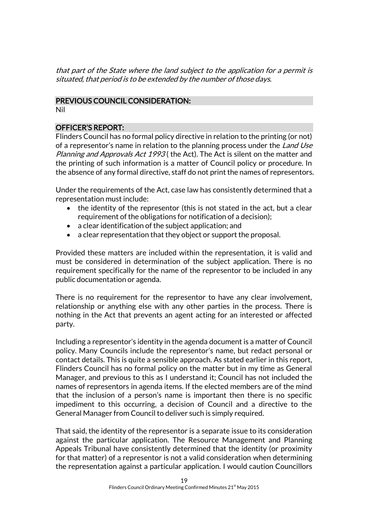that part of the State where the land subject to the application for a permit is situated, that period is to be extended by the number of those days.

## PREVIOUS COUNCIL CONSIDERATION: Nil

## OFFICER'S REPORT:

Flinders Council has no formal policy directive in relation to the printing (or not) of a representor's name in relation to the planning process under the Land Use Planning and Approvals Act 1993 (the Act). The Act is silent on the matter and the printing of such information is a matter of Council policy or procedure. In the absence of any formal directive, staff do not print the names of representors.

Under the requirements of the Act, case law has consistently determined that a representation must include:

- the identity of the representor (this is not stated in the act, but a clear requirement of the obligations for notification of a decision);
- a clear identification of the subject application; and
- a clear representation that they object or support the proposal.

Provided these matters are included within the representation, it is valid and must be considered in determination of the subject application. There is no requirement specifically for the name of the representor to be included in any public documentation or agenda.

There is no requirement for the representor to have any clear involvement, relationship or anything else with any other parties in the process. There is nothing in the Act that prevents an agent acting for an interested or affected party.

Including a representor's identity in the agenda document is a matter of Council policy. Many Councils include the representor's name, but redact personal or contact details. This is quite a sensible approach. As stated earlier in this report, Flinders Council has no formal policy on the matter but in my time as General Manager, and previous to this as I understand it; Council has not included the names of representors in agenda items. If the elected members are of the mind that the inclusion of a person's name is important then there is no specific impediment to this occurring, a decision of Council and a directive to the General Manager from Council to deliver such is simply required.

That said, the identity of the representor is a separate issue to its consideration against the particular application. The Resource Management and Planning Appeals Tribunal have consistently determined that the identity (or proximity for that matter) of a representor is not a valid consideration when determining the representation against a particular application. I would caution Councillors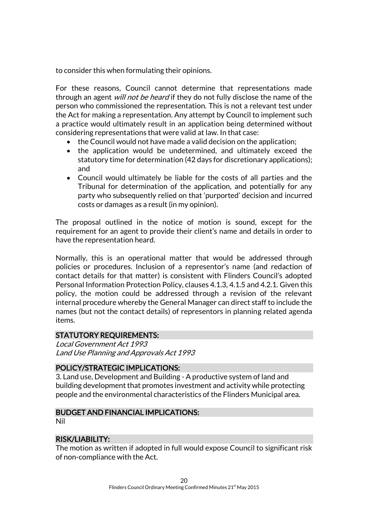to consider this when formulating their opinions.

For these reasons, Council cannot determine that representations made through an agent *will not be heard* if they do not fully disclose the name of the person who commissioned the representation. This is not a relevant test under the Act for making a representation. Any attempt by Council to implement such a practice would ultimately result in an application being determined without considering representations that were valid at law. In that case:

- the Council would not have made a valid decision on the application;
- the application would be undetermined, and ultimately exceed the statutory time for determination (42 days for discretionary applications); and
- Council would ultimately be liable for the costs of all parties and the Tribunal for determination of the application, and potentially for any party who subsequently relied on that 'purported' decision and incurred costs or damages as a result (in my opinion).

The proposal outlined in the notice of motion is sound, except for the requirement for an agent to provide their client's name and details in order to have the representation heard.

Normally, this is an operational matter that would be addressed through policies or procedures. Inclusion of a representor's name (and redaction of contact details for that matter) is consistent with Flinders Council's adopted Personal Information Protection Policy, clauses 4.1.3, 4.1.5 and 4.2.1. Given this policy, the motion could be addressed through a revision of the relevant internal procedure whereby the General Manager can direct staff to include the names (but not the contact details) of representors in planning related agenda items.

## STATUTORY REQUIREMENTS:

Local Government Act 1993 Land Use Planning and Approvals Act 1993

## POLICY/STRATEGIC IMPLICATIONS:

3. Land use, Development and Building - A productive system of land and building development that promotes investment and activity while protecting people and the environmental characteristics of the Flinders Municipal area.

### BUDGET AND FINANCIAL IMPLICATIONS:

Nil

## RISK/LIABILITY:

The motion as written if adopted in full would expose Council to significant risk of non-compliance with the Act.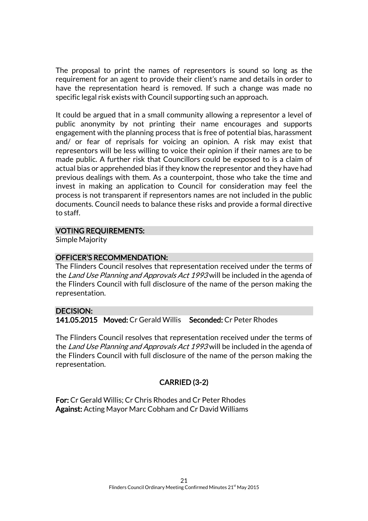The proposal to print the names of representors is sound so long as the requirement for an agent to provide their client's name and details in order to have the representation heard is removed. If such a change was made no specific legal risk exists with Council supporting such an approach.

It could be argued that in a small community allowing a representor a level of public anonymity by not printing their name encourages and supports engagement with the planning process that is free of potential bias, harassment and/ or fear of reprisals for voicing an opinion. A risk may exist that representors will be less willing to voice their opinion if their names are to be made public. A further risk that Councillors could be exposed to is a claim of actual bias or apprehended bias if they know the representor and they have had previous dealings with them. As a counterpoint, those who take the time and invest in making an application to Council for consideration may feel the process is not transparent if representors names are not included in the public documents. Council needs to balance these risks and provide a formal directive to staff.

### VOTING REQUIREMENTS:

Simple Majority

## OFFICER'S RECOMMENDATION:

The Flinders Council resolves that representation received under the terms of the Land Use Planning and Approvals Act 1993 will be included in the agenda of the Flinders Council with full disclosure of the name of the person making the representation.

## DECISION:

141.05.2015 Moved: Cr Gerald Willis Seconded: Cr Peter Rhodes

The Flinders Council resolves that representation received under the terms of the Land Use Planning and Approvals Act 1993 will be included in the agenda of the Flinders Council with full disclosure of the name of the person making the representation.

## CARRIED (3-2)

For: Cr Gerald Willis; Cr Chris Rhodes and Cr Peter Rhodes Against: Acting Mayor Marc Cobham and Cr David Williams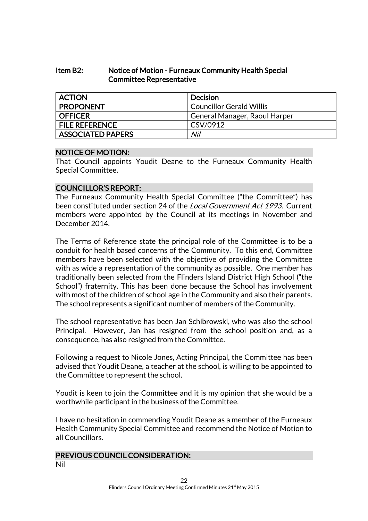## Item B2: Notice of Motion - Furneaux Community Health Special Committee Representative

| <b>ACTION</b>            | <b>Decision</b>                 |
|--------------------------|---------------------------------|
| <b>PROPONENT</b>         | <b>Councillor Gerald Willis</b> |
| <b>OFFICER</b>           | General Manager, Raoul Harper   |
| <b>FILE REFERENCE</b>    | CSV/0912                        |
| <b>ASSOCIATED PAPERS</b> | Nil                             |

### NOTICE OF MOTION:

That Council appoints Youdit Deane to the Furneaux Community Health Special Committee.

### COUNCILLOR'S REPORT:

The Furneaux Community Health Special Committee ("the Committee") has been constituted under section 24 of the *Local Government Act 1993*. Current members were appointed by the Council at its meetings in November and December 2014.

The Terms of Reference state the principal role of the Committee is to be a conduit for health based concerns of the Community. To this end, Committee members have been selected with the objective of providing the Committee with as wide a representation of the community as possible. One member has traditionally been selected from the Flinders Island District High School ("the School") fraternity. This has been done because the School has involvement with most of the children of school age in the Community and also their parents. The school represents a significant number of members of the Community.

The school representative has been Jan Schibrowski, who was also the school Principal. However, Jan has resigned from the school position and, as a consequence, has also resigned from the Committee.

Following a request to Nicole Jones, Acting Principal, the Committee has been advised that Youdit Deane, a teacher at the school, is willing to be appointed to the Committee to represent the school.

Youdit is keen to join the Committee and it is my opinion that she would be a worthwhile participant in the business of the Committee.

I have no hesitation in commending Youdit Deane as a member of the Furneaux Health Community Special Committee and recommend the Notice of Motion to all Councillors.

## PREVIOUS COUNCIL CONSIDERATION:

Nil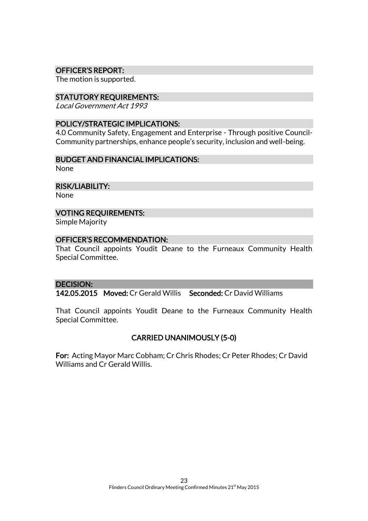## OFFICER'S REPORT:

The motion is supported.

### STATUTORY REQUIREMENTS:

Local Government Act 1993

### POLICY/STRATEGIC IMPLICATIONS:

4.0 Community Safety, Engagement and Enterprise - Through positive Council-Community partnerships, enhance people's security, inclusion and well-being.

## BUDGET AND FINANCIAL IMPLICATIONS:

None

RISK/LIABILITY:

None

## VOTING REQUIREMENTS:

Simple Majority

#### OFFICER'S RECOMMENDATION:

That Council appoints Youdit Deane to the Furneaux Community Health Special Committee.

### DECISION:

142.05.2015 Moved: Cr Gerald Willis Seconded: Cr David Williams

That Council appoints Youdit Deane to the Furneaux Community Health Special Committee.

## CARRIED UNANIMOUSLY (5-0)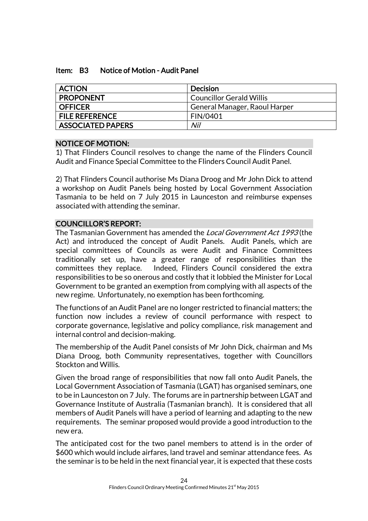## Item: B3 Notice of Motion - Audit Panel

| <b>ACTION</b>            | <b>Decision</b>                 |
|--------------------------|---------------------------------|
| <b>PROPONENT</b>         | <b>Councillor Gerald Willis</b> |
| <b>OFFICER</b>           | General Manager, Raoul Harper   |
| <b>FILE REFERENCE</b>    | FIN/0401                        |
| <b>ASSOCIATED PAPERS</b> | Nil                             |

## NOTICE OF MOTION:

1) That Flinders Council resolves to change the name of the Flinders Council Audit and Finance Special Committee to the Flinders Council Audit Panel.

2) That Flinders Council authorise Ms Diana Droog and Mr John Dick to attend a workshop on Audit Panels being hosted by Local Government Association Tasmania to be held on 7 July 2015 in Launceston and reimburse expenses associated with attending the seminar.

## COUNCILLOR'S REPORT:

The Tasmanian Government has amended the *Local Government Act 1993* (the Act) and introduced the concept of Audit Panels. Audit Panels, which are special committees of Councils as were Audit and Finance Committees traditionally set up, have a greater range of responsibilities than the committees they replace. Indeed, Flinders Council considered the extra responsibilities to be so onerous and costly that it lobbied the Minister for Local Government to be granted an exemption from complying with all aspects of the new regime. Unfortunately, no exemption has been forthcoming.

The functions of an Audit Panel are no longer restricted to financial matters; the function now includes a review of council performance with respect to corporate governance, legislative and policy compliance, risk management and internal control and decision-making.

The membership of the Audit Panel consists of Mr John Dick, chairman and Ms Diana Droog, both Community representatives, together with Councillors Stockton and Willis.

Given the broad range of responsibilities that now fall onto Audit Panels, the Local Government Association of Tasmania (LGAT) has organised seminars, one to be in Launceston on 7 July. The forums are in partnership between LGAT and Governance Institute of Australia (Tasmanian branch). It is considered that all members of Audit Panels will have a period of learning and adapting to the new requirements. The seminar proposed would provide a good introduction to the new era.

The anticipated cost for the two panel members to attend is in the order of \$600 which would include airfares, land travel and seminar attendance fees. As the seminar is to be held in the next financial year, it is expected that these costs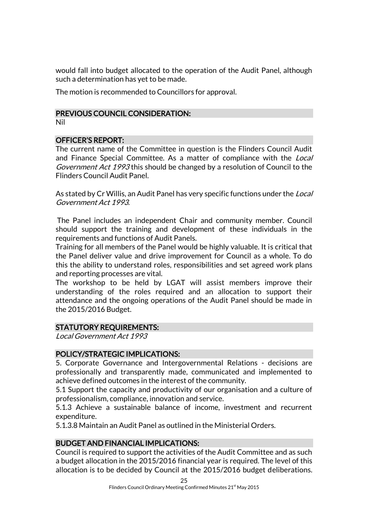would fall into budget allocated to the operation of the Audit Panel, although such a determination has yet to be made.

The motion is recommended to Councillors for approval.

### PREVIOUS COUNCIL CONSIDERATION:

Nil

### OFFICER'S REPORT:

The current name of the Committee in question is the Flinders Council Audit and Finance Special Committee. As a matter of compliance with the *Local* Government Act 1993 this should be changed by a resolution of Council to the Flinders Council Audit Panel.

As stated by Cr Willis, an Audit Panel has very specific functions under the *Local* Government Act 1993.

 The Panel includes an independent Chair and community member. Council should support the training and development of these individuals in the requirements and functions of Audit Panels.

Training for all members of the Panel would be highly valuable. It is critical that the Panel deliver value and drive improvement for Council as a whole. To do this the ability to understand roles, responsibilities and set agreed work plans and reporting processes are vital.

The workshop to be held by LGAT will assist members improve their understanding of the roles required and an allocation to support their attendance and the ongoing operations of the Audit Panel should be made in the 2015/2016 Budget.

### STATUTORY REQUIREMENTS:

Local Government Act 1993

### POLICY/STRATEGIC IMPLICATIONS:

5. Corporate Governance and Intergovernmental Relations - decisions are professionally and transparently made, communicated and implemented to achieve defined outcomes in the interest of the community.

5.1 Support the capacity and productivity of our organisation and a culture of professionalism, compliance, innovation and service.

5.1.3 Achieve a sustainable balance of income, investment and recurrent expenditure.

5.1.3.8 Maintain an Audit Panel as outlined in the Ministerial Orders.

## BUDGET AND FINANCIAL IMPLICATIONS:

Council is required to support the activities of the Audit Committee and as such a budget allocation in the 2015/2016 financial year is required. The level of this allocation is to be decided by Council at the 2015/2016 budget deliberations.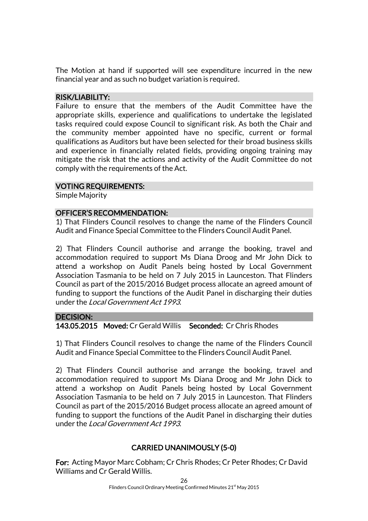The Motion at hand if supported will see expenditure incurred in the new financial year and as such no budget variation is required.

## RISK/LIABILITY:

Failure to ensure that the members of the Audit Committee have the appropriate skills, experience and qualifications to undertake the legislated tasks required could expose Council to significant risk. As both the Chair and the community member appointed have no specific, current or formal qualifications as Auditors but have been selected for their broad business skills and experience in financially related fields, providing ongoing training may mitigate the risk that the actions and activity of the Audit Committee do not comply with the requirements of the Act.

## VOTING REQUIREMENTS:

Simple Majority

## OFFICER'S RECOMMENDATION:

1) That Flinders Council resolves to change the name of the Flinders Council Audit and Finance Special Committee to the Flinders Council Audit Panel.

2) That Flinders Council authorise and arrange the booking, travel and accommodation required to support Ms Diana Droog and Mr John Dick to attend a workshop on Audit Panels being hosted by Local Government Association Tasmania to be held on 7 July 2015 in Launceston. That Flinders Council as part of the 2015/2016 Budget process allocate an agreed amount of funding to support the functions of the Audit Panel in discharging their duties under the Local Government Act 1993.

### DECISION:

143.05.2015 Moved: Cr Gerald Willis Seconded: Cr Chris Rhodes

1) That Flinders Council resolves to change the name of the Flinders Council Audit and Finance Special Committee to the Flinders Council Audit Panel.

2) That Flinders Council authorise and arrange the booking, travel and accommodation required to support Ms Diana Droog and Mr John Dick to attend a workshop on Audit Panels being hosted by Local Government Association Tasmania to be held on 7 July 2015 in Launceston. That Flinders Council as part of the 2015/2016 Budget process allocate an agreed amount of funding to support the functions of the Audit Panel in discharging their duties under the Local Government Act 1993.

## CARRIED UNANIMOUSLY (5-0)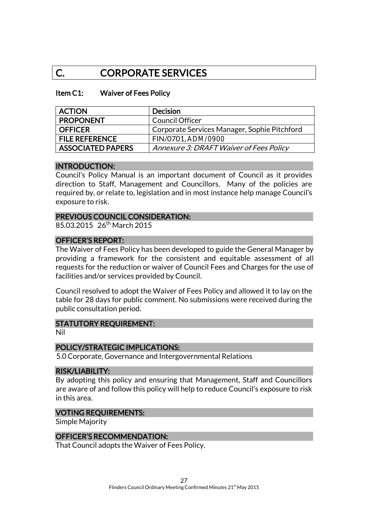## C. CORPORATE SERVICES

#### Item C1: Waiver of Fees Policy

| <b>ACTION</b>            | <b>Decision</b>                              |
|--------------------------|----------------------------------------------|
| <b>PROPONENT</b>         | Council Officer                              |
| <b>OFFICER</b>           | Corporate Services Manager, Sophie Pitchford |
| <b>FILE REFERENCE</b>    | FIN/0701, ADM/0900                           |
| <b>ASSOCIATED PAPERS</b> | Annexure 3: DRAFT Waiver of Fees Policy      |

#### INTRODUCTION:

Council's Policy Manual is an important document of Council as it provides direction to Staff, Management and Councillors. Many of the policies are required by, or relate to, legislation and in most instance help manage Council's exposure to risk.

#### PREVIOUS COUNCIL CONSIDERATION:

85.03.2015 26<sup>th</sup> March 2015

## OFFICER'S REPORT:

The Waiver of Fees Policy has been developed to guide the General Manager by providing a framework for the consistent and equitable assessment of all requests for the reduction or waiver of Council Fees and Charges for the use of facilities and/or services provided by Council.

Council resolved to adopt the Waiver of Fees Policy and allowed it to lay on the table for 28 days for public comment. No submissions were received during the public consultation period.

#### STATUTORY REQUIREMENT:

Nil

### POLICY/STRATEGIC IMPLICATIONS:

5.0 Corporate, Governance and Intergovernmental Relations

#### RISK/LIABILITY:

By adopting this policy and ensuring that Management, Staff and Councillors are aware of and follow this policy will help to reduce Council's exposure to risk in this area.

#### VOTING REQUIREMENTS:

Simple Majority

### OFFICER'S RECOMMENDATION:

That Council adopts the Waiver of Fees Policy.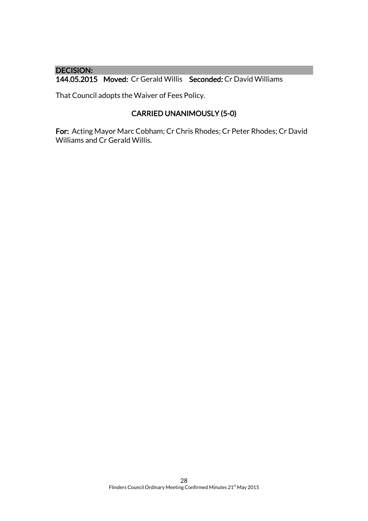## DECISION:

144.05.2015 Moved: Cr Gerald Willis Seconded: Cr David Williams

That Council adopts the Waiver of Fees Policy.

## CARRIED UNANIMOUSLY (5-0)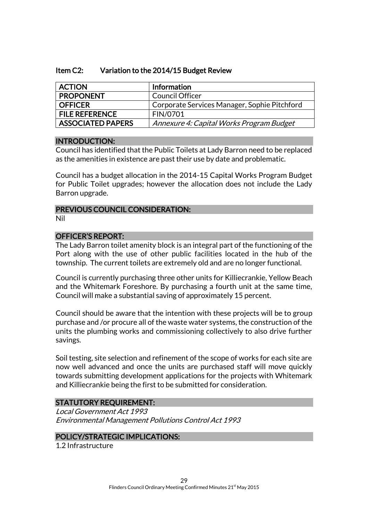## Item C2: Variation to the 2014/15 Budget Review

| <b>ACTION</b>            | Information                                  |
|--------------------------|----------------------------------------------|
| <b>PROPONENT</b>         | <b>Council Officer</b>                       |
| <b>OFFICER</b>           | Corporate Services Manager, Sophie Pitchford |
| <b>FILE REFERENCE</b>    | FIN/0701                                     |
| <b>ASSOCIATED PAPERS</b> | Annexure 4: Capital Works Program Budget     |

### INTRODUCTION:

Council has identified that the Public Toilets at Lady Barron need to be replaced as the amenities in existence are past their use by date and problematic.

Council has a budget allocation in the 2014-15 Capital Works Program Budget for Public Toilet upgrades; however the allocation does not include the Lady Barron upgrade.

### PREVIOUS COUNCIL CONSIDERATION: Nil

### OFFICER'S REPORT:

The Lady Barron toilet amenity block is an integral part of the functioning of the Port along with the use of other public facilities located in the hub of the township. The current toilets are extremely old and are no longer functional.

Council is currently purchasing three other units for Killiecrankie, Yellow Beach and the Whitemark Foreshore. By purchasing a fourth unit at the same time, Council will make a substantial saving of approximately 15 percent.

Council should be aware that the intention with these projects will be to group purchase and /or procure all of the waste water systems, the construction of the units the plumbing works and commissioning collectively to also drive further savings.

Soil testing, site selection and refinement of the scope of works for each site are now well advanced and once the units are purchased staff will move quickly towards submitting development applications for the projects with Whitemark and Killiecrankie being the first to be submitted for consideration.

## STATUTORY REQUIREMENT:

Local Government Act 1993 Environmental Management Pollutions Control Act 1993

### POLICY/STRATEGIC IMPLICATIONS:

1.2 Infrastructure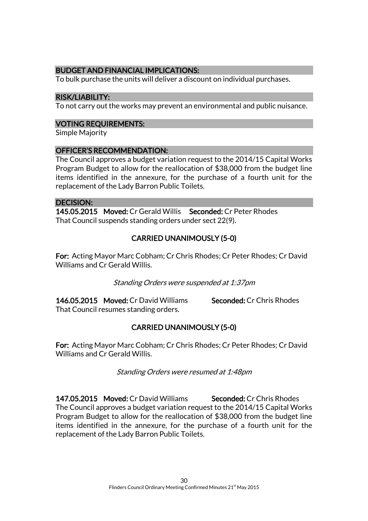## BUDGET AND FINANCIAL IMPLICATIONS:

To bulk purchase the units will deliver a discount on individual purchases.

## RISK/LIABILITY:

To not carry out the works may prevent an environmental and public nuisance.

## VOTING REQUIREMENTS:

Simple Majority

## OFFICER'S RECOMMENDATION:

The Council approves a budget variation request to the 2014/15 Capital Works Program Budget to allow for the reallocation of \$38,000 from the budget line items identified in the annexure, for the purchase of a fourth unit for the replacement of the Lady Barron Public Toilets.

### DECISION:

145.05.2015 Moved: Cr Gerald Willis Seconded: Cr Peter Rhodes That Council suspends standing orders under sect 22(9).

## CARRIED UNANIMOUSLY (5-0)

For: Acting Mayor Marc Cobham; Cr Chris Rhodes; Cr Peter Rhodes; Cr David Williams and Cr Gerald Willis.

Standing Orders were suspended at 1:37pm

146.05.2015 Moved: Cr David Williams Seconded: Cr Chris Rhodes That Council resumes standing orders.

## CARRIED UNANIMOUSLY (5-0)

For: Acting Mayor Marc Cobham; Cr Chris Rhodes; Cr Peter Rhodes; Cr David Williams and Cr Gerald Willis.

Standing Orders were resumed at 1:48pm

147.05.2015 Moved: Cr David Williams Seconded: Cr Chris Rhodes The Council approves a budget variation request to the 2014/15 Capital Works Program Budget to allow for the reallocation of \$38,000 from the budget line items identified in the annexure, for the purchase of a fourth unit for the replacement of the Lady Barron Public Toilets.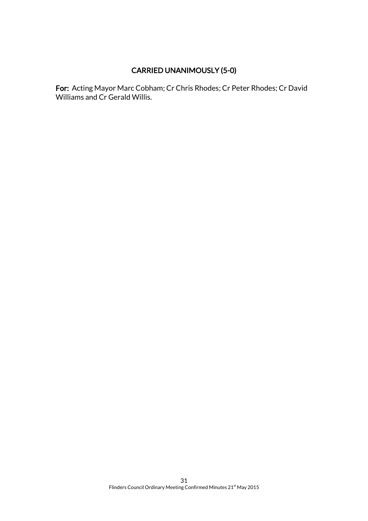## CARRIED UNANIMOUSLY (5-0)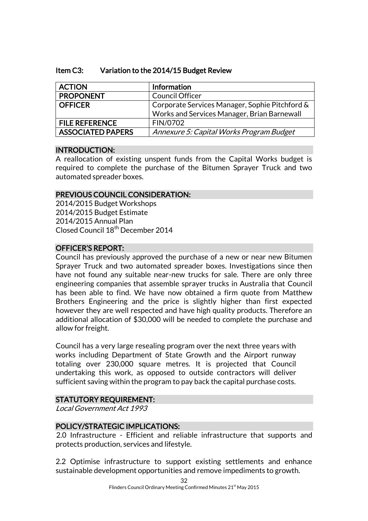## Item C3: Variation to the 2014/15 Budget Review

| <b>ACTION</b>            | Information                                    |
|--------------------------|------------------------------------------------|
| <b>PROPONENT</b>         | <b>Council Officer</b>                         |
| <b>OFFICER</b>           | Corporate Services Manager, Sophie Pitchford & |
|                          | Works and Services Manager, Brian Barnewall    |
| <b>FILE REFERENCE</b>    | FIN/0702                                       |
| <b>ASSOCIATED PAPERS</b> | Annexure 5: Capital Works Program Budget       |

## INTRODUCTION:

A reallocation of existing unspent funds from the Capital Works budget is required to complete the purchase of the Bitumen Sprayer Truck and two automated spreader boxes.

## PREVIOUS COUNCIL CONSIDERATION:

2014/2015 Budget Workshops 2014/2015 Budget Estimate 2014/2015 Annual Plan Closed Council 18<sup>th</sup> December 2014

## OFFICER'S REPORT:

Council has previously approved the purchase of a new or near new Bitumen Sprayer Truck and two automated spreader boxes. Investigations since then have not found any suitable near-new trucks for sale. There are only three engineering companies that assemble sprayer trucks in Australia that Council has been able to find. We have now obtained a firm quote from Matthew Brothers Engineering and the price is slightly higher than first expected however they are well respected and have high quality products. Therefore an additional allocation of \$30,000 will be needed to complete the purchase and allow for freight.

Council has a very large resealing program over the next three years with works including Department of State Growth and the Airport runway totaling over 230,000 square metres. It is projected that Council undertaking this work, as opposed to outside contractors will deliver sufficient saving within the program to pay back the capital purchase costs.

### STATUTORY REQUIREMENT:

Local Government Act 1993

### POLICY/STRATEGIC IMPLICATIONS:

2.0 Infrastructure - Efficient and reliable infrastructure that supports and protects production, services and lifestyle.

2.2 Optimise infrastructure to support existing settlements and enhance sustainable development opportunities and remove impediments to growth.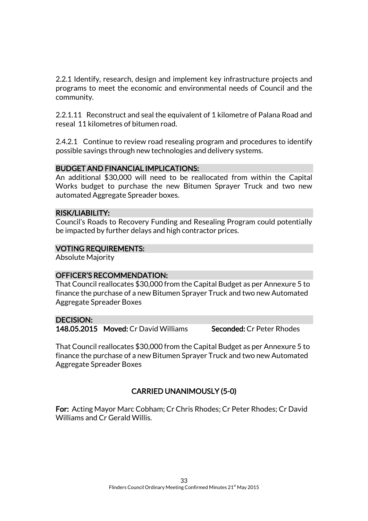2.2.1 Identify, research, design and implement key infrastructure projects and programs to meet the economic and environmental needs of Council and the community.

2.2.1.11 Reconstruct and seal the equivalent of 1 kilometre of Palana Road and reseal 11 kilometres of bitumen road.

2.4.2.1 Continue to review road resealing program and procedures to identify possible savings through new technologies and delivery systems.

## BUDGET AND FINANCIAL IMPLICATIONS:

An additional \$30,000 will need to be reallocated from within the Capital Works budget to purchase the new Bitumen Sprayer Truck and two new automated Aggregate Spreader boxes.

### RISK/LIABILITY:

Council's Roads to Recovery Funding and Resealing Program could potentially be impacted by further delays and high contractor prices.

## VOTING REQUIREMENTS:

Absolute Majority

## OFFICER'S RECOMMENDATION:

That Council reallocates \$30,000 from the Capital Budget as per Annexure 5 to finance the purchase of a new Bitumen Sprayer Truck and two new Automated Aggregate Spreader Boxes

### DECISION:

148.05.2015 Moved: Cr David Williams Seconded: Cr Peter Rhodes

That Council reallocates \$30,000 from the Capital Budget as per Annexure 5 to finance the purchase of a new Bitumen Sprayer Truck and two new Automated Aggregate Spreader Boxes

## CARRIED UNANIMOUSLY (5-0)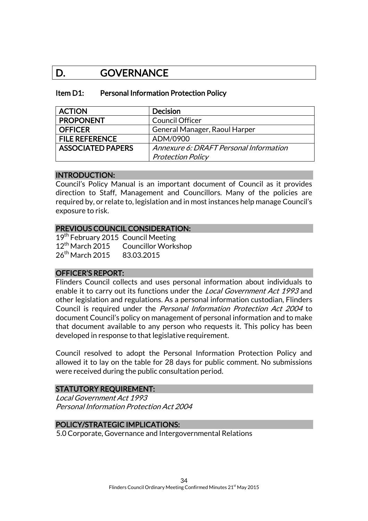## D. GOVERNANCE

#### Item D1: Personal Information Protection Policy

| <b>ACTION</b>            | <b>Decision</b>                        |
|--------------------------|----------------------------------------|
| <b>PROPONENT</b>         | <b>Council Officer</b>                 |
| <b>OFFICER</b>           | General Manager, Raoul Harper          |
| <b>FILE REFERENCE</b>    | ADM/0900                               |
| <b>ASSOCIATED PAPERS</b> | Annexure 6: DRAFT Personal Information |
|                          | <b>Protection Policy</b>               |

## INTRODUCTION:

Council's Policy Manual is an important document of Council as it provides direction to Staff, Management and Councillors. Many of the policies are required by, or relate to, legislation and in most instances help manage Council's exposure to risk.

#### PREVIOUS COUNCIL CONSIDERATION:

19<sup>th</sup> February 2015 Council Meeting 12<sup>th</sup> March 2015 Councillor Workshop 26<sup>th</sup> March 2015 83.03.2015

### OFFICER'S REPORT:

Flinders Council collects and uses personal information about individuals to enable it to carry out its functions under the Local Government Act 1993 and other legislation and regulations. As a personal information custodian, Flinders Council is required under the Personal Information Protection Act 2004 to document Council's policy on management of personal information and to make that document available to any person who requests it. This policy has been developed in response to that legislative requirement.

Council resolved to adopt the Personal Information Protection Policy and allowed it to lay on the table for 28 days for public comment. No submissions were received during the public consultation period.

#### STATUTORY REQUIREMENT:

Local Government Act 1993 Personal Information Protection Act 2004

## POLICY/STRATEGIC IMPLICATIONS:

5.0 Corporate, Governance and Intergovernmental Relations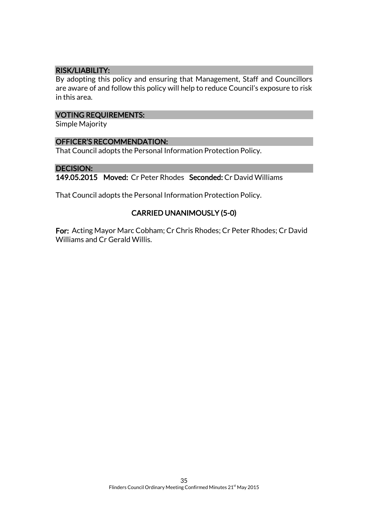## RISK/LIABILITY:

By adopting this policy and ensuring that Management, Staff and Councillors are aware of and follow this policy will help to reduce Council's exposure to risk in this area.

### VOTING REQUIREMENTS:

Simple Majority

#### OFFICER'S RECOMMENDATION:

That Council adopts the Personal Information Protection Policy.

#### DECISION:

149.05.2015 Moved: Cr Peter Rhodes Seconded: Cr David Williams

That Council adopts the Personal Information Protection Policy.

## CARRIED UNANIMOUSLY (5-0)